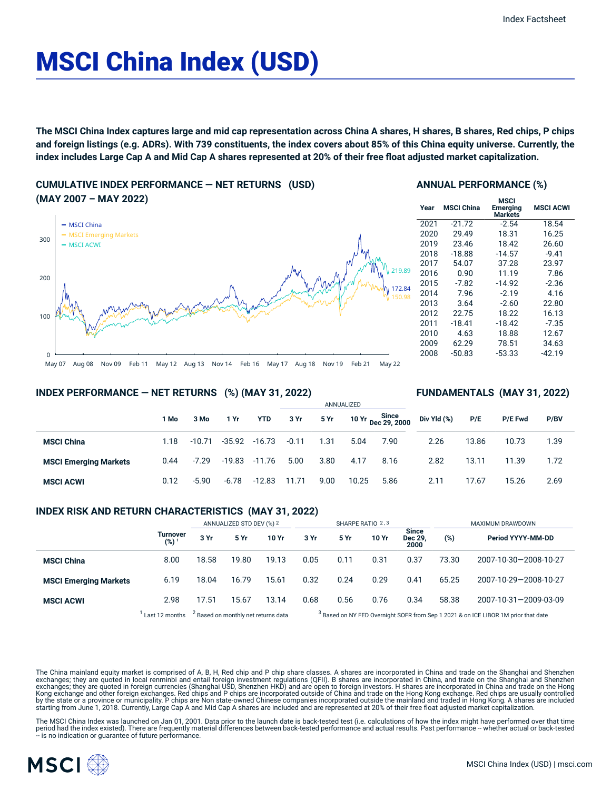# MSCI China Index (USD)

The MSCI China Index captures large and mid cap representation across China A shares, H shares, B shares, Red chips, P chips and foreign listings (e.g. ADRs). With 739 constituents, the index covers about 85% of this China equity universe. Currently, the index includes Large Cap A and Mid Cap A shares represented at 20% of their free float adjusted market capitalization.

**CUMULATIVE INDEX PERFORMANCE — NET RETURNS (USD) (MAY 2007 – MAY 2022)**



## **ANNUAL PERFORMANCE (%)**

| Year | <b>MSCI China</b> | MSCI<br>Emerging<br><b>Markets</b> | <b>MSCI ACWI</b> |
|------|-------------------|------------------------------------|------------------|
| 2021 | $-21.72$          | $-2.54$                            | 18.54            |
| 2020 | 29.49             | 18.31                              | 16.25            |
| 2019 | 23.46             | 18.42                              | 26.60            |
| 2018 | $-18.88$          | $-14.57$                           | $-9.41$          |
| 2017 | 54.07             | 37.28                              | 23.97            |
| 2016 | 0.90              | 11.19                              | 7.86             |
| 2015 | $-7.82$           | $-14.92$                           | $-2.36$          |
| 2014 | 7.96              | $-2.19$                            | 4.16             |
| 2013 | 3.64              | $-2.60$                            | 22.80            |
| 2012 | 22.75             | 18.22                              | 16.13            |
| 2011 | $-18.41$          | $-18.42$                           | $-7.35$          |
| 2010 | 4.63              | 18.88                              | 12.67            |
| 2009 | 62.29             | 78.51                              | 34.63            |
| 2008 | $-50.83$          | $-53.33$                           | -42.19           |
|      |                   |                                    |                  |

**FUNDAMENTALS (MAY 31, 2022)**

#### **INDEX PERFORMANCE — NET RETURNS (%) (MAY 31, 2022)**

|                              |      |          |          |               | ANNUALIZED |      |       |                             |             |       |                |      |
|------------------------------|------|----------|----------|---------------|------------|------|-------|-----------------------------|-------------|-------|----------------|------|
|                              | 1 Mo | 3 Mo     | 1 Yr     | <b>YTD</b>    | 3 Yr       | 5 Yr |       | 10 Yr Since<br>Dec 29, 2000 | Div Yld (%) | P/E   | <b>P/E Fwd</b> | P/BV |
| <b>MSCI China</b>            | 1.18 | $-10.71$ |          | -35.92 -16.73 | $-0.11$    | 1.31 | 5.04  | 7.90                        | 2.26        | 13.86 | 10.73          | 1.39 |
| <b>MSCI Emerging Markets</b> | 0.44 | $-7.29$  | $-19.83$ | -11.76        | 5.00       | 3.80 | 4.17  | 8.16                        | 2.82        | 13.11 | 11.39          | 1.72 |
| <b>MSCI ACWI</b>             | 0.12 | $-5.90$  | $-6.78$  | $-12.83$      | 11.71      | 9.00 | 10.25 | 5.86                        | 2.11        | 17.67 | 15.26          | 2.69 |

## **INDEX RISK AND RETURN CHARACTERISTICS (MAY 31, 2022)**

|                              |                              | ANNUALIZED STD DEV (%) 2 |                                                |       | SHARPE RATIO 2,3 |      |       |                          | MAXIMUM DRAWDOWN |                                                                                               |  |
|------------------------------|------------------------------|--------------------------|------------------------------------------------|-------|------------------|------|-------|--------------------------|------------------|-----------------------------------------------------------------------------------------------|--|
|                              | Turnover<br>(%) <sup>1</sup> | 3 Yr                     | 5 Yr                                           | 10 Yr | 3 Yr             | 5 Yr | 10 Yr | Since<br>Dec 29.<br>2000 | (%)              | Period YYYY-MM-DD                                                                             |  |
| <b>MSCI China</b>            | 8.00                         | 18.58                    | 19.80                                          | 19.13 | 0.05             | 0.11 | 0.31  | 0.37                     | 73.30            | 2007-10-30-2008-10-27                                                                         |  |
| <b>MSCI Emerging Markets</b> | 6.19                         | 18.04                    | 16.79                                          | 15.61 | 0.32             | 0.24 | 0.29  | 0.41                     | 65.25            | 2007-10-29-2008-10-27                                                                         |  |
| <b>MSCI ACWI</b>             | 2.98                         | 17.51                    | 15.67                                          | 13.14 | 0.68             | 0.56 | 0.76  | 0.34                     | 58.38            | 2007-10-31-2009-03-09                                                                         |  |
|                              | Last 12 months               |                          | <sup>2</sup> Based on monthly net returns data |       |                  |      |       |                          |                  | <sup>3</sup> Based on NY FED Overnight SOFR from Sep 1 2021 & on ICE LIBOR 1M prior that date |  |

The China mainland equity market is comprised of A, B, H, Red chip and P chip share classes. A shares are incorporated in China and trade on the Shanghai and Shenzhen exchanges; they are quoted in local renminbi and entail foreign investment regulations (QFII). B shares are incorporated in China, and trade on the Shanghai and Shenzhen<br>exchanges; they are quoted in foreign currencies (Sh starting from June 1, 2018. Currently, Large Cap A and Mid Cap A shares are included and are represented at 20% of their free float adjusted market capitalization.

The MSCI China Index was launched on Jan 01, 2001. Data prior to the launch date is back-tested test (i.e. calculations of how the index might have performed over that time<br>period had the index existed). There are frequent

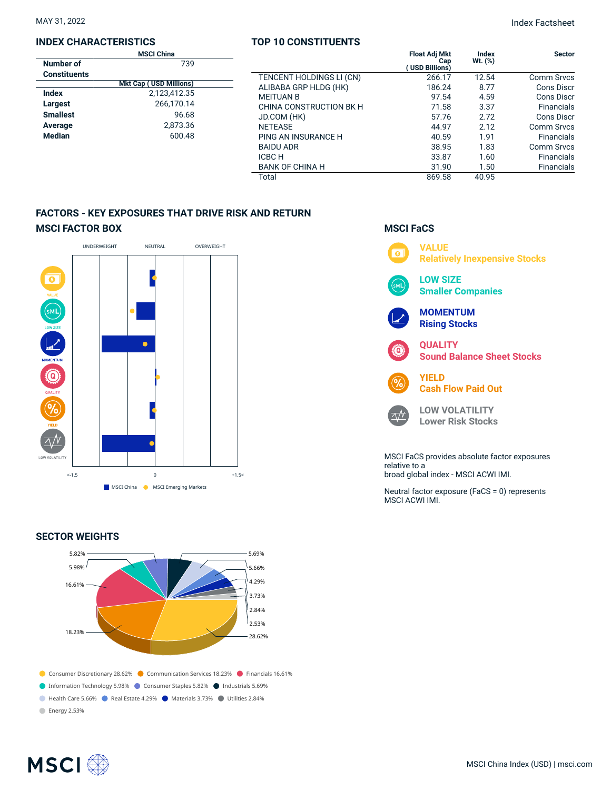## **INDEX CHARACTERISTICS**

| <b>MSCI China</b>             |  |  |  |  |  |  |  |
|-------------------------------|--|--|--|--|--|--|--|
| 739                           |  |  |  |  |  |  |  |
|                               |  |  |  |  |  |  |  |
| <b>Mkt Cap (USD Millions)</b> |  |  |  |  |  |  |  |
| 2.123.412.35                  |  |  |  |  |  |  |  |
| 266,170.14                    |  |  |  |  |  |  |  |
| 96.68                         |  |  |  |  |  |  |  |
| 2,873.36                      |  |  |  |  |  |  |  |
| 600.48                        |  |  |  |  |  |  |  |
|                               |  |  |  |  |  |  |  |

## **TOP 10 CONSTITUENTS**

|             | .                        |                                              |                  |                   |
|-------------|--------------------------|----------------------------------------------|------------------|-------------------|
| ıina<br>739 |                          | <b>Float Adj Mkt</b><br>Cap<br>USD Billions) | Index<br>Wt. (%) | <b>Sector</b>     |
|             | TENCENT HOLDINGS LI (CN) | 266.17                                       | 12.54            | <b>Comm Srvcs</b> |
| Millions)   | ALIBABA GRP HLDG (HK)    | 186.24                                       | 8.77             | Cons Discr        |
| 3,412.35    | <b>MEITUAN B</b>         | 97.54                                        | 4.59             | <b>Cons Discr</b> |
| 6,170.14    | CHINA CONSTRUCTION BK H  | 71.58                                        | 3.37             | <b>Financials</b> |
| 96.68       | JD.COM (HK)              | 57.76                                        | 2.72             | Cons Discr        |
| 2,873.36    | <b>NETEASE</b>           | 44.97                                        | 2.12             | <b>Comm Srvcs</b> |
| 600.48      | PING AN INSURANCE H      | 40.59                                        | 1.91             | <b>Financials</b> |
|             | <b>BAIDU ADR</b>         | 38.95                                        | 1.83             | Comm Srvcs        |
|             | ICBC H                   | 33.87                                        | 1.60             | <b>Financials</b> |
|             | <b>BANK OF CHINA H</b>   | 31.90                                        | 1.50             | <b>Financials</b> |
|             | Total                    | 869.58                                       | 40.95            |                   |

# **FACTORS - KEY EXPOSURES THAT DRIVE RISK AND RETURN MSCI FACTOR BOX**



## **SECTOR WEIGHTS**



## **MSCI FaCS**



broad global index - MSCI ACWI IMI.

Neutral factor exposure (FaCS = 0) represents MSCI ACWI IMI.